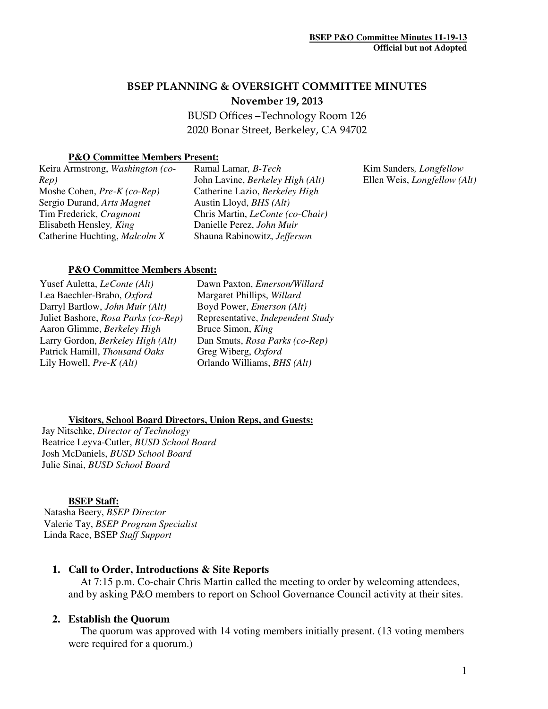# BSEP PLANNING & OVERSIGHT COMMITTEE MINUTES November 19, 2013

 BUSD Offices –Technology Room 126 2020 Bonar Street, Berkeley, CA 94702

### **P&O Committee Members Present:**

| Keira Armstrong, Washington (co- | Ramal Lamar, B-Tech              |
|----------------------------------|----------------------------------|
| Rep)                             | John Lavine, Berkeley High (Alt) |
| Moshe Cohen, Pre-K (co-Rep)      | Catherine Lazio, Berkeley High   |
| Sergio Durand, Arts Magnet       | Austin Lloyd, BHS (Alt)          |
| Tim Frederick, Cragmont          | Chris Martin, LeConte (co-Chair) |
| Elisabeth Hensley, King          | Danielle Perez, John Muir        |
| Catherine Huchting, Malcolm X    | Shauna Rabinowitz, Jefferson     |
|                                  |                                  |

Kim Sanders*, Longfellow*  Ellen Weis, *Longfellow (Alt)*

#### **P&O Committee Members Absent:**

Yusef Auletta, *LeConte (Alt)*  Lea Baechler-Brabo, *Oxford*  Darryl Bartlow, *John Muir (Alt)* Juliet Bashore, *Rosa Parks (co-Rep)* Aaron Glimme, *Berkeley High* Larry Gordon, *Berkeley High (Alt)*  Patrick Hamill, *Thousand Oaks*  Lily Howell, *Pre-K (Alt)*

Dawn Paxton, *Emerson/Willard*  Margaret Phillips, *Willard*  Boyd Power, *Emerson (Alt)* Representative, *Independent Study* Bruce Simon, *King*  Dan Smuts, *Rosa Parks (co-Rep)* Greg Wiberg, *Oxford*  Orlando Williams, *BHS (Alt)* 

#### **Visitors, School Board Directors, Union Reps, and Guests:**

Jay Nitschke, *Director of Technology*  Beatrice Leyva-Cutler, *BUSD School Board*  Josh McDaniels, *BUSD School Board* Julie Sinai, *BUSD School Board*

#### **BSEP Staff:**

 Natasha Beery, *BSEP Director* Valerie Tay, *BSEP Program Specialist*  Linda Race, BSEP *Staff Support* 

### **1. Call to Order, Introductions & Site Reports**

At 7:15 p.m. Co-chair Chris Martin called the meeting to order by welcoming attendees, and by asking P&O members to report on School Governance Council activity at their sites.

### **2. Establish the Quorum**

The quorum was approved with 14 voting members initially present. (13 voting members were required for a quorum.)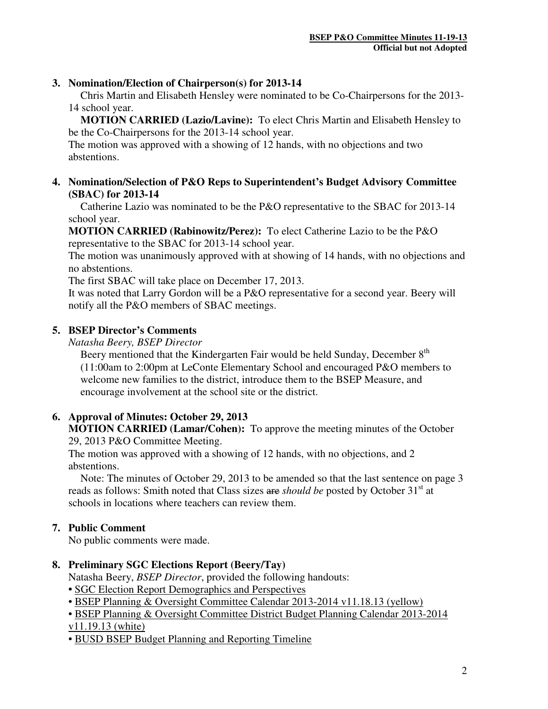### **3. Nomination/Election of Chairperson(s) for 2013-14**

 Chris Martin and Elisabeth Hensley were nominated to be Co-Chairpersons for the 2013- 14 school year.

**MOTION CARRIED (Lazio/Lavine):** To elect Chris Martin and Elisabeth Hensley to be the Co-Chairpersons for the 2013-14 school year.

The motion was approved with a showing of 12 hands, with no objections and two abstentions.

**4. Nomination/Selection of P&O Reps to Superintendent's Budget Advisory Committee (SBAC) for 2013-14** 

Catherine Lazio was nominated to be the P&O representative to the SBAC for 2013-14 school year.

**MOTION CARRIED (Rabinowitz/Perez):** To elect Catherine Lazio to be the P&O representative to the SBAC for 2013-14 school year.

The motion was unanimously approved with at showing of 14 hands, with no objections and no abstentions.

The first SBAC will take place on December 17, 2013.

It was noted that Larry Gordon will be a P&O representative for a second year. Beery will notify all the P&O members of SBAC meetings.

# **5. BSEP Director's Comments**

*Natasha Beery, BSEP Director* 

Beery mentioned that the Kindergarten Fair would be held Sunday, December 8<sup>th</sup> (11:00am to 2:00pm at LeConte Elementary School and encouraged P&O members to welcome new families to the district, introduce them to the BSEP Measure, and encourage involvement at the school site or the district.

# **6. Approval of Minutes: October 29, 2013**

**MOTION CARRIED (Lamar/Cohen):** To approve the meeting minutes of the October 29, 2013 P&O Committee Meeting.

The motion was approved with a showing of 12 hands, with no objections, and 2 abstentions.

Note: The minutes of October 29, 2013 to be amended so that the last sentence on page 3 reads as follows: Smith noted that Class sizes are *should be* posted by October 31<sup>st</sup> at schools in locations where teachers can review them.

# **7. Public Comment**

No public comments were made.

# **8. Preliminary SGC Elections Report (Beery/Tay)**

Natasha Beery, *BSEP Director*, provided the following handouts:

- SGC Election Report Demographics and Perspectives
- BSEP Planning & Oversight Committee Calendar 2013-2014 v11.18.13 (yellow)
- BSEP Planning & Oversight Committee District Budget Planning Calendar 2013-2014 v11.19.13 (white)
- BUSD BSEP Budget Planning and Reporting Timeline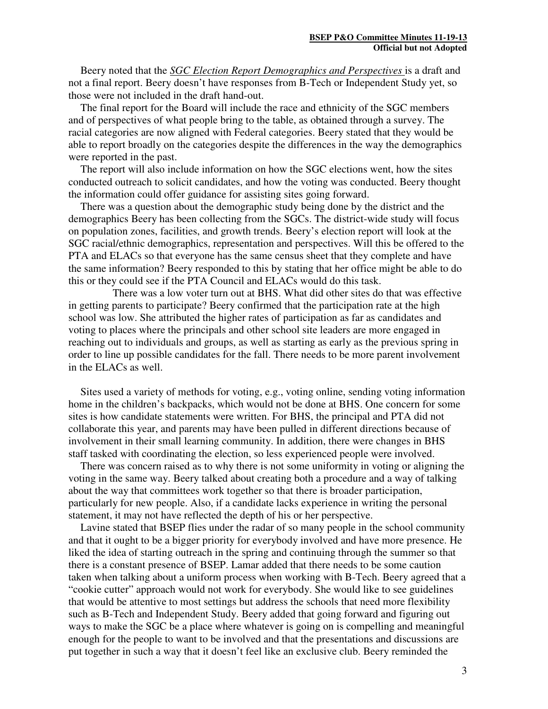Beery noted that the *SGC Election Report Demographics and Perspectives* is a draft and not a final report. Beery doesn't have responses from B-Tech or Independent Study yet, so those were not included in the draft hand-out.

The final report for the Board will include the race and ethnicity of the SGC members and of perspectives of what people bring to the table, as obtained through a survey. The racial categories are now aligned with Federal categories. Beery stated that they would be able to report broadly on the categories despite the differences in the way the demographics were reported in the past.

 The report will also include information on how the SGC elections went, how the sites conducted outreach to solicit candidates, and how the voting was conducted. Beery thought the information could offer guidance for assisting sites going forward.

 There was a question about the demographic study being done by the district and the demographics Beery has been collecting from the SGCs. The district-wide study will focus on population zones, facilities, and growth trends. Beery's election report will look at the SGC racial/ethnic demographics, representation and perspectives. Will this be offered to the PTA and ELACs so that everyone has the same census sheet that they complete and have the same information? Beery responded to this by stating that her office might be able to do this or they could see if the PTA Council and ELACs would do this task.

 There was a low voter turn out at BHS. What did other sites do that was effective in getting parents to participate? Beery confirmed that the participation rate at the high school was low. She attributed the higher rates of participation as far as candidates and voting to places where the principals and other school site leaders are more engaged in reaching out to individuals and groups, as well as starting as early as the previous spring in order to line up possible candidates for the fall. There needs to be more parent involvement in the ELACs as well.

Sites used a variety of methods for voting, e.g., voting online, sending voting information home in the children's backpacks, which would not be done at BHS. One concern for some sites is how candidate statements were written. For BHS, the principal and PTA did not collaborate this year, and parents may have been pulled in different directions because of involvement in their small learning community. In addition, there were changes in BHS staff tasked with coordinating the election, so less experienced people were involved.

There was concern raised as to why there is not some uniformity in voting or aligning the voting in the same way. Beery talked about creating both a procedure and a way of talking about the way that committees work together so that there is broader participation, particularly for new people. Also, if a candidate lacks experience in writing the personal statement, it may not have reflected the depth of his or her perspective.

Lavine stated that BSEP flies under the radar of so many people in the school community and that it ought to be a bigger priority for everybody involved and have more presence. He liked the idea of starting outreach in the spring and continuing through the summer so that there is a constant presence of BSEP. Lamar added that there needs to be some caution taken when talking about a uniform process when working with B-Tech. Beery agreed that a "cookie cutter" approach would not work for everybody. She would like to see guidelines that would be attentive to most settings but address the schools that need more flexibility such as B-Tech and Independent Study. Beery added that going forward and figuring out ways to make the SGC be a place where whatever is going on is compelling and meaningful enough for the people to want to be involved and that the presentations and discussions are put together in such a way that it doesn't feel like an exclusive club. Beery reminded the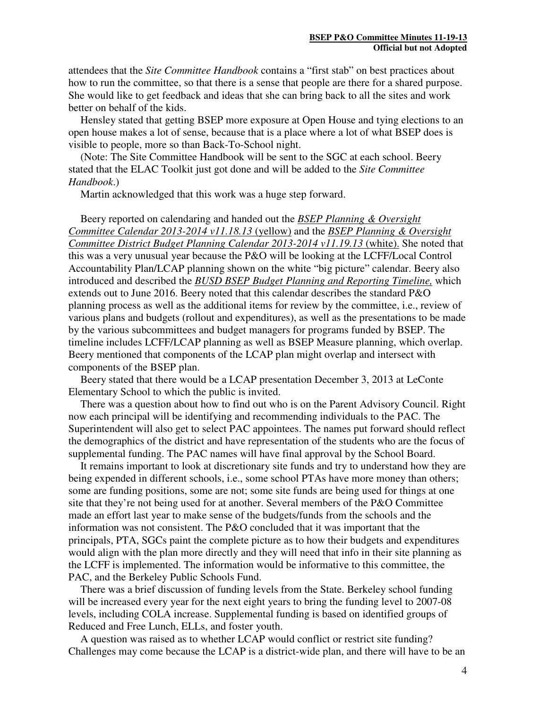attendees that the *Site Committee Handbook* contains a "first stab" on best practices about how to run the committee, so that there is a sense that people are there for a shared purpose. She would like to get feedback and ideas that she can bring back to all the sites and work better on behalf of the kids.

Hensley stated that getting BSEP more exposure at Open House and tying elections to an open house makes a lot of sense, because that is a place where a lot of what BSEP does is visible to people, more so than Back-To-School night.

(Note: The Site Committee Handbook will be sent to the SGC at each school. Beery stated that the ELAC Toolkit just got done and will be added to the *Site Committee Handbook*.)

Martin acknowledged that this work was a huge step forward.

Beery reported on calendaring and handed out the *BSEP Planning & Oversight Committee Calendar 2013-2014 v11.18.13* (yellow) and the *BSEP Planning & Oversight Committee District Budget Planning Calendar 2013-2014 v11.19.13* (white). She noted that this was a very unusual year because the P&O will be looking at the LCFF/Local Control Accountability Plan/LCAP planning shown on the white "big picture" calendar. Beery also introduced and described the *BUSD BSEP Budget Planning and Reporting Timeline,* which extends out to June 2016. Beery noted that this calendar describes the standard P&O planning process as well as the additional items for review by the committee, i.e., review of various plans and budgets (rollout and expenditures), as well as the presentations to be made by the various subcommittees and budget managers for programs funded by BSEP. The timeline includes LCFF/LCAP planning as well as BSEP Measure planning, which overlap. Beery mentioned that components of the LCAP plan might overlap and intersect with components of the BSEP plan.

Beery stated that there would be a LCAP presentation December 3, 2013 at LeConte Elementary School to which the public is invited.

There was a question about how to find out who is on the Parent Advisory Council. Right now each principal will be identifying and recommending individuals to the PAC. The Superintendent will also get to select PAC appointees. The names put forward should reflect the demographics of the district and have representation of the students who are the focus of supplemental funding. The PAC names will have final approval by the School Board.

It remains important to look at discretionary site funds and try to understand how they are being expended in different schools, i.e., some school PTAs have more money than others; some are funding positions, some are not; some site funds are being used for things at one site that they're not being used for at another. Several members of the P&O Committee made an effort last year to make sense of the budgets/funds from the schools and the information was not consistent. The P&O concluded that it was important that the principals, PTA, SGCs paint the complete picture as to how their budgets and expenditures would align with the plan more directly and they will need that info in their site planning as the LCFF is implemented. The information would be informative to this committee, the PAC, and the Berkeley Public Schools Fund.

There was a brief discussion of funding levels from the State. Berkeley school funding will be increased every year for the next eight years to bring the funding level to 2007-08 levels, including COLA increase. Supplemental funding is based on identified groups of Reduced and Free Lunch, ELLs, and foster youth.

A question was raised as to whether LCAP would conflict or restrict site funding? Challenges may come because the LCAP is a district-wide plan, and there will have to be an